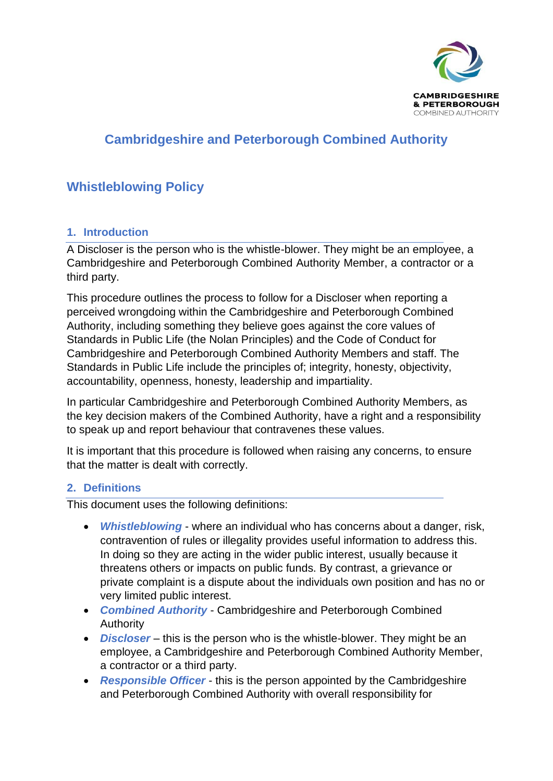

# **Cambridgeshire and Peterborough Combined Authority**

# **Whistleblowing Policy**

### **1. Introduction**

A Discloser is the person who is the whistle-blower. They might be an employee, a Cambridgeshire and Peterborough Combined Authority Member, a contractor or a third party.

This procedure outlines the process to follow for a Discloser when reporting a perceived wrongdoing within the Cambridgeshire and Peterborough Combined Authority, including something they believe goes against the core values of Standards in Public Life (the Nolan Principles) and the Code of Conduct for Cambridgeshire and Peterborough Combined Authority Members and staff. The Standards in Public Life include the principles of; integrity, honesty, objectivity, accountability, openness, honesty, leadership and impartiality.

In particular Cambridgeshire and Peterborough Combined Authority Members, as the key decision makers of the Combined Authority, have a right and a responsibility to speak up and report behaviour that contravenes these values.

It is important that this procedure is followed when raising any concerns, to ensure that the matter is dealt with correctly.

### **2. Definitions**

This document uses the following definitions:

- *Whistleblowing*  where an individual who has concerns about a danger, risk, contravention of rules or illegality provides useful information to address this. In doing so they are acting in the wider public interest, usually because it threatens others or impacts on public funds. By contrast, a grievance or private complaint is a dispute about the individuals own position and has no or very limited public interest.
- *Combined Authority*  Cambridgeshire and Peterborough Combined Authority
- *Discloser*  this is the person who is the whistle-blower. They might be an employee, a Cambridgeshire and Peterborough Combined Authority Member, a contractor or a third party.
- *Responsible Officer*  this is the person appointed by the Cambridgeshire and Peterborough Combined Authority with overall responsibility for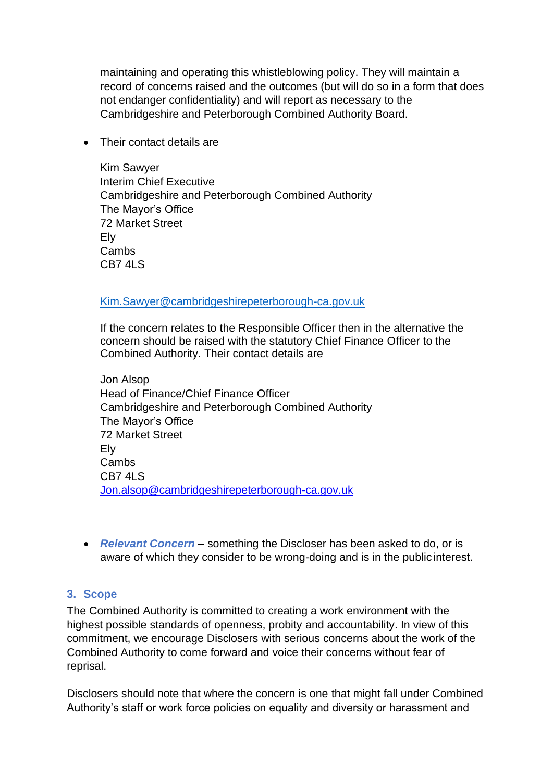maintaining and operating this whistleblowing policy. They will maintain a record of concerns raised and the outcomes (but will do so in a form that does not endanger confidentiality) and will report as necessary to the Cambridgeshire and Peterborough Combined Authority Board.

• Their contact details are

Kim Sawyer Interim Chief Executive Cambridgeshire and Peterborough Combined Authority The Mayor's Office 72 Market Street Ely Cambs CB7 4LS

#### [Kim.Sawyer@cambridgeshirepeterborough-ca.gov.uk](mailto:Kim.Sawyer@cambridgeshirepeterborough-ca.gov.uk)

If the concern relates to the Responsible Officer then in the alternative the concern should be raised with the statutory Chief Finance Officer to the Combined Authority. Their contact details are

Jon Alsop Head of Finance/Chief Finance Officer Cambridgeshire and Peterborough Combined Authority The Mayor's Office 72 Market Street Ely Cambs CB7 4LS [Jon.alsop@cambridgeshirepeterborough-ca.gov.uk](mailto:Jon.alsop@cambridgeshirepeterborough-ca.gov.uk)

• *Relevant Concern* – something the Discloser has been asked to do, or is aware of which they consider to be wrong-doing and is in the public interest.

### **3. Scope**

The Combined Authority is committed to creating a work environment with the highest possible standards of openness, probity and accountability. In view of this commitment, we encourage Disclosers with serious concerns about the work of the Combined Authority to come forward and voice their concerns without fear of reprisal.

Disclosers should note that where the concern is one that might fall under Combined Authority's staff or work force policies on equality and diversity or harassment and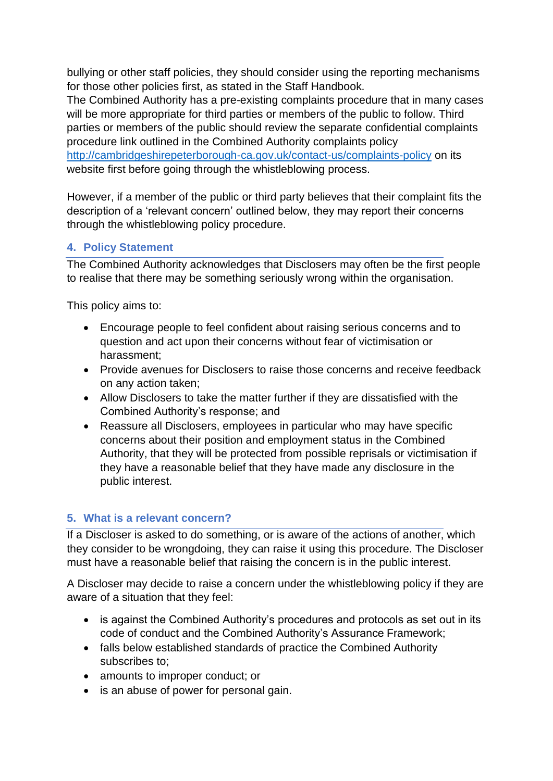bullying or other staff policies, they should consider using the reporting mechanisms for those other policies first, as stated in the Staff Handbook.

The Combined Authority has a pre-existing complaints procedure that in many cases will be more appropriate for third parties or members of the public to follow. Third parties or members of the public should review the separate confidential complaints procedure link outlined in the Combined Authority complaints policy <http://cambridgeshirepeterborough-ca.gov.uk/contact-us/complaints-policy> on its website first before going through the whistleblowing process.

However, if a member of the public or third party believes that their complaint fits the description of a 'relevant concern' outlined below, they may report their concerns through the whistleblowing policy procedure.

## **4. Policy Statement**

The Combined Authority acknowledges that Disclosers may often be the first people to realise that there may be something seriously wrong within the organisation.

This policy aims to:

- Encourage people to feel confident about raising serious concerns and to question and act upon their concerns without fear of victimisation or harassment;
- Provide avenues for Disclosers to raise those concerns and receive feedback on any action taken;
- Allow Disclosers to take the matter further if they are dissatisfied with the Combined Authority's response; and
- Reassure all Disclosers, employees in particular who may have specific concerns about their position and employment status in the Combined Authority, that they will be protected from possible reprisals or victimisation if they have a reasonable belief that they have made any disclosure in the public interest.

## **5. What is a relevant concern?**

If a Discloser is asked to do something, or is aware of the actions of another, which they consider to be wrongdoing, they can raise it using this procedure. The Discloser must have a reasonable belief that raising the concern is in the public interest.

A Discloser may decide to raise a concern under the whistleblowing policy if they are aware of a situation that they feel:

- is against the Combined Authority's procedures and protocols as set out in its code of conduct and the Combined Authority's Assurance Framework;
- falls below established standards of practice the Combined Authority subscribes to;
- amounts to improper conduct; or
- is an abuse of power for personal gain.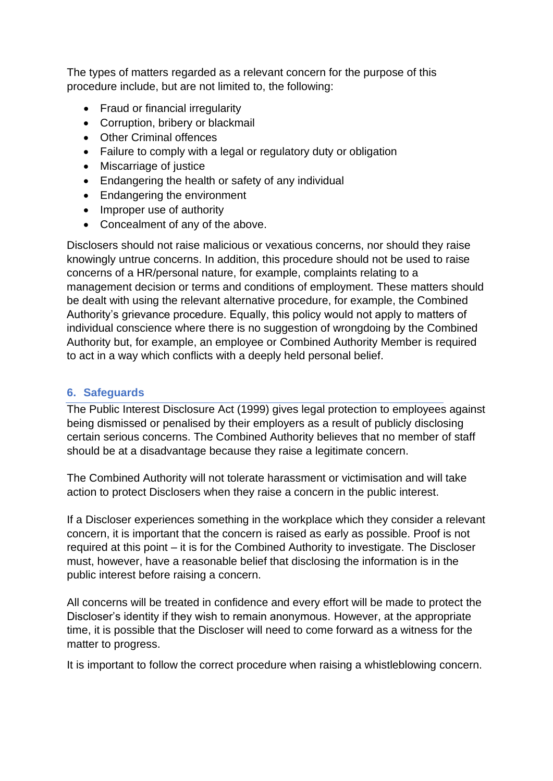The types of matters regarded as a relevant concern for the purpose of this procedure include, but are not limited to, the following:

- Fraud or financial irregularity
- Corruption, bribery or blackmail
- Other Criminal offences
- Failure to comply with a legal or regulatory duty or obligation
- Miscarriage of justice
- Endangering the health or safety of any individual
- Endangering the environment
- Improper use of authority
- Concealment of any of the above.

Disclosers should not raise malicious or vexatious concerns, nor should they raise knowingly untrue concerns. In addition, this procedure should not be used to raise concerns of a HR/personal nature, for example, complaints relating to a management decision or terms and conditions of employment. These matters should be dealt with using the relevant alternative procedure, for example, the Combined Authority's grievance procedure. Equally, this policy would not apply to matters of individual conscience where there is no suggestion of wrongdoing by the Combined Authority but, for example, an employee or Combined Authority Member is required to act in a way which conflicts with a deeply held personal belief.

### **6. Safeguards**

The Public Interest Disclosure Act (1999) gives legal protection to employees against being dismissed or penalised by their employers as a result of publicly disclosing certain serious concerns. The Combined Authority believes that no member of staff should be at a disadvantage because they raise a legitimate concern.

The Combined Authority will not tolerate harassment or victimisation and will take action to protect Disclosers when they raise a concern in the public interest.

If a Discloser experiences something in the workplace which they consider a relevant concern, it is important that the concern is raised as early as possible. Proof is not required at this point – it is for the Combined Authority to investigate. The Discloser must, however, have a reasonable belief that disclosing the information is in the public interest before raising a concern.

All concerns will be treated in confidence and every effort will be made to protect the Discloser's identity if they wish to remain anonymous. However, at the appropriate time, it is possible that the Discloser will need to come forward as a witness for the matter to progress.

It is important to follow the correct procedure when raising a whistleblowing concern.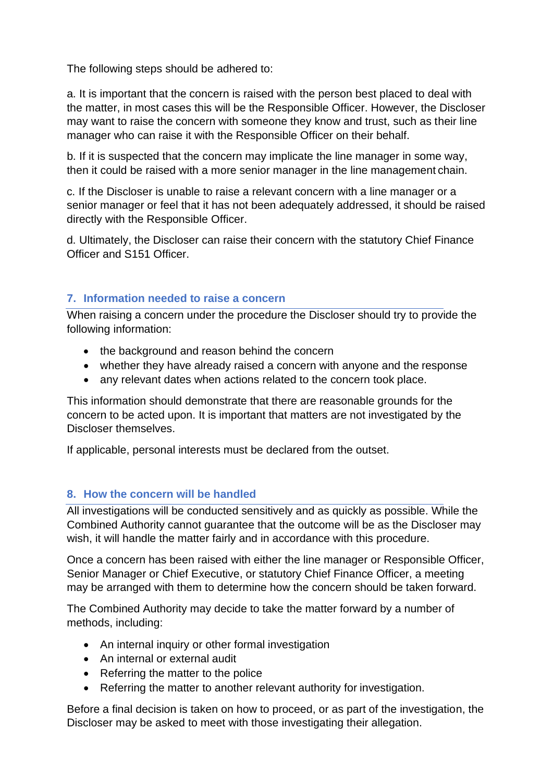The following steps should be adhered to:

a. It is important that the concern is raised with the person best placed to deal with the matter, in most cases this will be the Responsible Officer. However, the Discloser may want to raise the concern with someone they know and trust, such as their line manager who can raise it with the Responsible Officer on their behalf.

b. If it is suspected that the concern may implicate the line manager in some way, then it could be raised with a more senior manager in the line management chain.

c. If the Discloser is unable to raise a relevant concern with a line manager or a senior manager or feel that it has not been adequately addressed, it should be raised directly with the Responsible Officer.

d. Ultimately, the Discloser can raise their concern with the statutory Chief Finance Officer and S151 Officer.

### **7. Information needed to raise a concern**

When raising a concern under the procedure the Discloser should try to provide the following information:

- the background and reason behind the concern
- whether they have already raised a concern with anyone and the response
- any relevant dates when actions related to the concern took place.

This information should demonstrate that there are reasonable grounds for the concern to be acted upon. It is important that matters are not investigated by the Discloser themselves.

If applicable, personal interests must be declared from the outset.

## **8. How the concern will be handled**

All investigations will be conducted sensitively and as quickly as possible. While the Combined Authority cannot guarantee that the outcome will be as the Discloser may wish, it will handle the matter fairly and in accordance with this procedure.

Once a concern has been raised with either the line manager or Responsible Officer, Senior Manager or Chief Executive, or statutory Chief Finance Officer, a meeting may be arranged with them to determine how the concern should be taken forward.

The Combined Authority may decide to take the matter forward by a number of methods, including:

- An internal inquiry or other formal investigation
- An internal or external audit
- Referring the matter to the police
- Referring the matter to another relevant authority for investigation.

Before a final decision is taken on how to proceed, or as part of the investigation, the Discloser may be asked to meet with those investigating their allegation.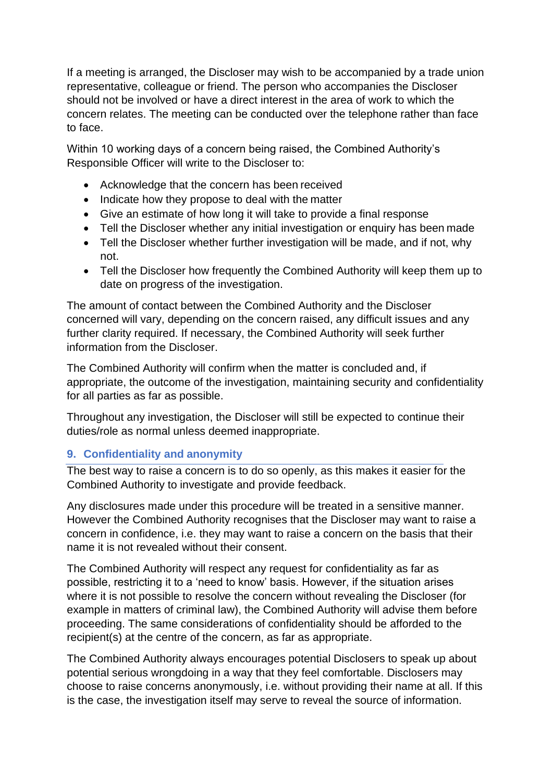If a meeting is arranged, the Discloser may wish to be accompanied by a trade union representative, colleague or friend. The person who accompanies the Discloser should not be involved or have a direct interest in the area of work to which the concern relates. The meeting can be conducted over the telephone rather than face to face.

Within 10 working days of a concern being raised, the Combined Authority's Responsible Officer will write to the Discloser to:

- Acknowledge that the concern has been received
- Indicate how they propose to deal with the matter
- Give an estimate of how long it will take to provide a final response
- Tell the Discloser whether any initial investigation or enquiry has been made
- Tell the Discloser whether further investigation will be made, and if not, why not.
- Tell the Discloser how frequently the Combined Authority will keep them up to date on progress of the investigation.

The amount of contact between the Combined Authority and the Discloser concerned will vary, depending on the concern raised, any difficult issues and any further clarity required. If necessary, the Combined Authority will seek further information from the Discloser.

The Combined Authority will confirm when the matter is concluded and, if appropriate, the outcome of the investigation, maintaining security and confidentiality for all parties as far as possible.

Throughout any investigation, the Discloser will still be expected to continue their duties/role as normal unless deemed inappropriate.

## **9. Confidentiality and anonymity**

The best way to raise a concern is to do so openly, as this makes it easier for the Combined Authority to investigate and provide feedback.

Any disclosures made under this procedure will be treated in a sensitive manner. However the Combined Authority recognises that the Discloser may want to raise a concern in confidence, i.e. they may want to raise a concern on the basis that their name it is not revealed without their consent.

The Combined Authority will respect any request for confidentiality as far as possible, restricting it to a 'need to know' basis. However, if the situation arises where it is not possible to resolve the concern without revealing the Discloser (for example in matters of criminal law), the Combined Authority will advise them before proceeding. The same considerations of confidentiality should be afforded to the recipient(s) at the centre of the concern, as far as appropriate.

The Combined Authority always encourages potential Disclosers to speak up about potential serious wrongdoing in a way that they feel comfortable. Disclosers may choose to raise concerns anonymously, i.e. without providing their name at all. If this is the case, the investigation itself may serve to reveal the source of information.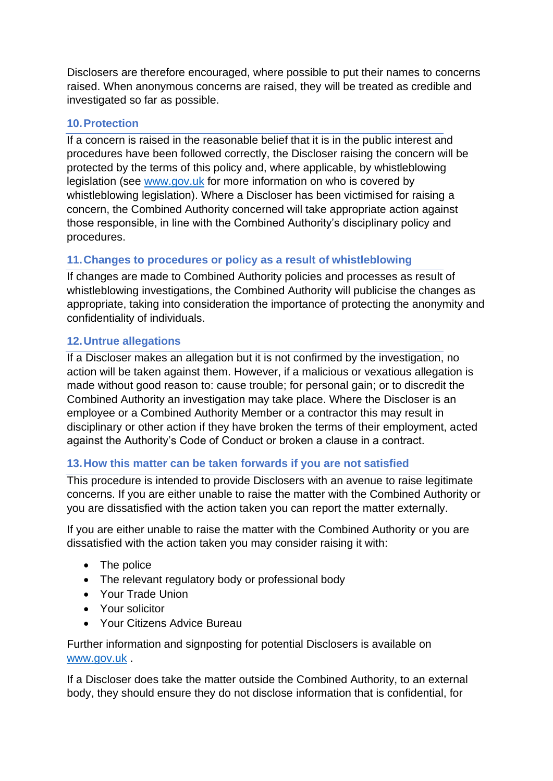Disclosers are therefore encouraged, where possible to put their names to concerns raised. When anonymous concerns are raised, they will be treated as credible and investigated so far as possible.

#### **10.Protection**

If a concern is raised in the reasonable belief that it is in the public interest and procedures have been followed correctly, the Discloser raising the concern will be protected by the terms of this policy and, where applicable, by whistleblowing legislation (see [www.gov.uk](http://www.gov.uk/) for more information on who is covered by whistleblowing legislation). Where a Discloser has been victimised for raising a concern, the Combined Authority concerned will take appropriate action against those responsible, in line with the Combined Authority's disciplinary policy and procedures.

### **11.Changes to procedures or policy as a result of whistleblowing**

If changes are made to Combined Authority policies and processes as result of whistleblowing investigations, the Combined Authority will publicise the changes as appropriate, taking into consideration the importance of protecting the anonymity and confidentiality of individuals.

### **12.Untrue allegations**

If a Discloser makes an allegation but it is not confirmed by the investigation, no action will be taken against them. However, if a malicious or vexatious allegation is made without good reason to: cause trouble; for personal gain; or to discredit the Combined Authority an investigation may take place. Where the Discloser is an employee or a Combined Authority Member or a contractor this may result in disciplinary or other action if they have broken the terms of their employment, acted against the Authority's Code of Conduct or broken a clause in a contract.

### **13.How this matter can be taken forwards if you are not satisfied**

This procedure is intended to provide Disclosers with an avenue to raise legitimate concerns. If you are either unable to raise the matter with the Combined Authority or you are dissatisfied with the action taken you can report the matter externally.

If you are either unable to raise the matter with the Combined Authority or you are dissatisfied with the action taken you may consider raising it with:

- The police
- The relevant regulatory body or professional body
- Your Trade Union
- Your solicitor
- Your Citizens Advice Bureau

Further information and signposting for potential Disclosers is available on [www.gov.uk](http://www.gov.uk/) .

If a Discloser does take the matter outside the Combined Authority, to an external body, they should ensure they do not disclose information that is confidential, for